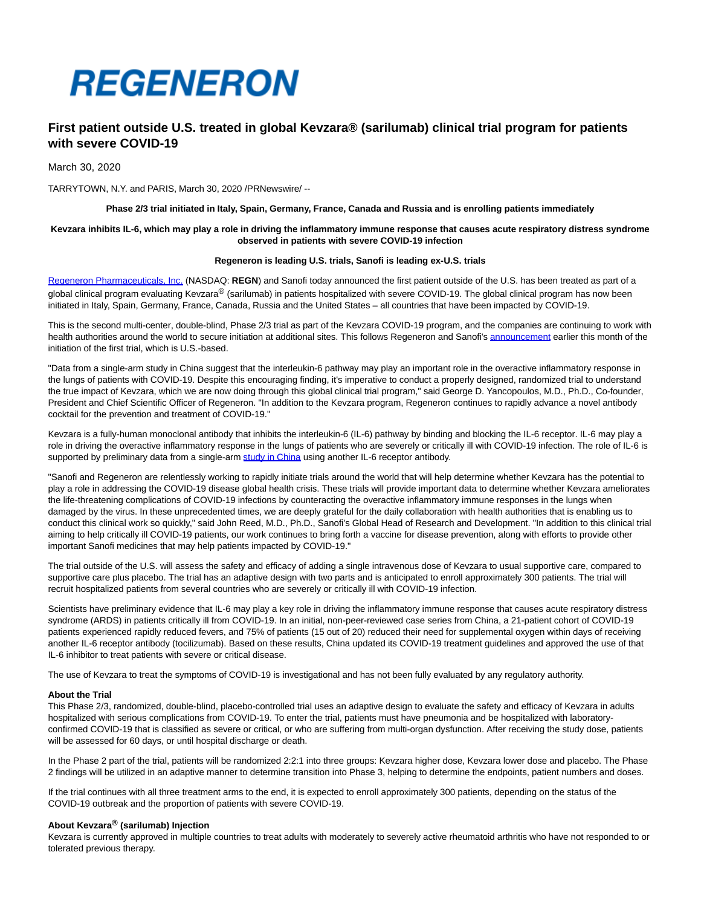# **REGENERON**

## **First patient outside U.S. treated in global Kevzara® (sarilumab) clinical trial program for patients with severe COVID-19**

March 30, 2020

TARRYTOWN, N.Y. and PARIS, March 30, 2020 /PRNewswire/ --

#### **Phase 2/3 trial initiated in Italy, Spain, Germany, France, Canada and Russia and is enrolling patients immediately**

#### **Kevzara inhibits IL-6, which may play a role in driving the inflammatory immune response that causes acute respiratory distress syndrome observed in patients with severe COVID-19 infection**

#### **Regeneron is leading U.S. trials, Sanofi is leading ex-U.S. trials**

[Regeneron Pharmaceuticals, Inc. \(](https://c212.net/c/link/?t=0&l=en&o=2763566-1&h=2457903462&u=http%3A%2F%2Fwww.regeneron.com%2F&a=Regeneron+Pharmaceuticals%2C+Inc.)NASDAQ: **REGN**) and Sanofi today announced the first patient outside of the U.S. has been treated as part of a global clinical program evaluating Kevzara® (sarilumab) in patients hospitalized with severe COVID-19. The global clinical program has now been initiated in Italy, Spain, Germany, France, Canada, Russia and the United States – all countries that have been impacted by COVID-19.

This is the second multi-center, double-blind, Phase 2/3 trial as part of the Kevzara COVID-19 program, and the companies are continuing to work with health authorities around the world to secure initiation at additional sites. This follows Regeneron and Sanofi'[s announcement e](https://c212.net/c/link/?t=0&l=en&o=2763566-1&h=3634961040&u=https%3A%2F%2Fnewsroom.regeneron.com%2Fnews-releases%2Fnews-release-details%2Fregeneron-and-sanofi-begin-global-kevzarar-sarilumab-clinical&a=announcement)arlier this month of the initiation of the first trial, which is U.S.-based.

"Data from a single-arm study in China suggest that the interleukin-6 pathway may play an important role in the overactive inflammatory response in the lungs of patients with COVID-19. Despite this encouraging finding, it's imperative to conduct a properly designed, randomized trial to understand the true impact of Kevzara, which we are now doing through this global clinical trial program," said George D. Yancopoulos, M.D., Ph.D., Co-founder, President and Chief Scientific Officer of Regeneron. "In addition to the Kevzara program, Regeneron continues to rapidly advance a novel antibody cocktail for the prevention and treatment of COVID-19."

Kevzara is a fully-human monoclonal antibody that inhibits the interleukin-6 (IL-6) pathway by binding and blocking the IL-6 receptor. IL-6 may play a role in driving the overactive inflammatory response in the lungs of patients who are severely or critically ill with COVID-19 infection. The role of IL-6 is supported by preliminary data from a single-arm [study in China u](https://c212.net/c/link/?t=0&l=en&o=2763566-1&h=3739411532&u=http%3A%2F%2Fwww.chinaxiv.org%2Fabs%2F202003.00026&a=study+in+China)sing another IL-6 receptor antibody.

"Sanofi and Regeneron are relentlessly working to rapidly initiate trials around the world that will help determine whether Kevzara has the potential to play a role in addressing the COVID-19 disease global health crisis. These trials will provide important data to determine whether Kevzara ameliorates the life-threatening complications of COVID-19 infections by counteracting the overactive inflammatory immune responses in the lungs when damaged by the virus. In these unprecedented times, we are deeply grateful for the daily collaboration with health authorities that is enabling us to conduct this clinical work so quickly," said John Reed, M.D., Ph.D., Sanofi's Global Head of Research and Development. "In addition to this clinical trial aiming to help critically ill COVID-19 patients, our work continues to bring forth a vaccine for disease prevention, along with efforts to provide other important Sanofi medicines that may help patients impacted by COVID-19."

The trial outside of the U.S. will assess the safety and efficacy of adding a single intravenous dose of Kevzara to usual supportive care, compared to supportive care plus placebo. The trial has an adaptive design with two parts and is anticipated to enroll approximately 300 patients. The trial will recruit hospitalized patients from several countries who are severely or critically ill with COVID-19 infection.

Scientists have preliminary evidence that IL-6 may play a key role in driving the inflammatory immune response that causes acute respiratory distress syndrome (ARDS) in patients critically ill from COVID-19. In an initial, non-peer-reviewed case series from China, a 21-patient cohort of COVID-19 patients experienced rapidly reduced fevers, and 75% of patients (15 out of 20) reduced their need for supplemental oxygen within days of receiving another IL-6 receptor antibody (tocilizumab). Based on these results, China updated its COVID-19 treatment guidelines and approved the use of that IL-6 inhibitor to treat patients with severe or critical disease.

The use of Kevzara to treat the symptoms of COVID-19 is investigational and has not been fully evaluated by any regulatory authority.

#### **About the Trial**

This Phase 2/3, randomized, double-blind, placebo-controlled trial uses an adaptive design to evaluate the safety and efficacy of Kevzara in adults hospitalized with serious complications from COVID-19. To enter the trial, patients must have pneumonia and be hospitalized with laboratoryconfirmed COVID-19 that is classified as severe or critical, or who are suffering from multi-organ dysfunction. After receiving the study dose, patients will be assessed for 60 days, or until hospital discharge or death.

In the Phase 2 part of the trial, patients will be randomized 2:2:1 into three groups: Kevzara higher dose, Kevzara lower dose and placebo. The Phase 2 findings will be utilized in an adaptive manner to determine transition into Phase 3, helping to determine the endpoints, patient numbers and doses.

If the trial continues with all three treatment arms to the end, it is expected to enroll approximately 300 patients, depending on the status of the COVID-19 outbreak and the proportion of patients with severe COVID-19.

## **About Kevzara® (sarilumab) Injection**

Kevzara is currently approved in multiple countries to treat adults with moderately to severely active rheumatoid arthritis who have not responded to or tolerated previous therapy.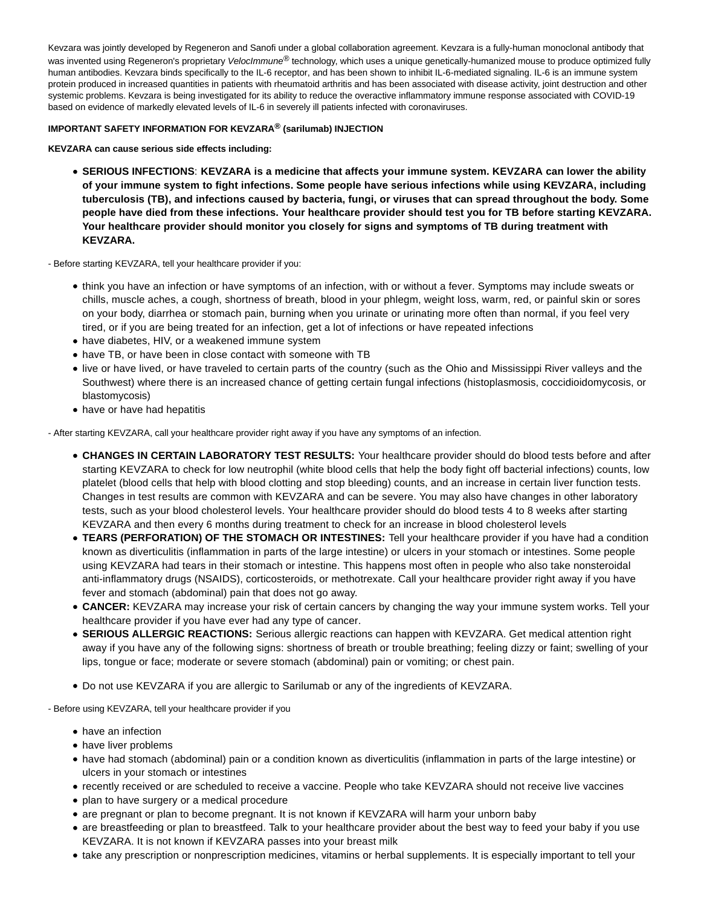Kevzara was jointly developed by Regeneron and Sanofi under a global collaboration agreement. Kevzara is a fully-human monoclonal antibody that was invented using Regeneron's proprietary VelocImmune® technology, which uses a unique genetically-humanized mouse to produce optimized fully human antibodies. Kevzara binds specifically to the IL-6 receptor, and has been shown to inhibit IL-6-mediated signaling. IL-6 is an immune system protein produced in increased quantities in patients with rheumatoid arthritis and has been associated with disease activity, joint destruction and other systemic problems. Kevzara is being investigated for its ability to reduce the overactive inflammatory immune response associated with COVID-19 based on evidence of markedly elevated levels of IL-6 in severely ill patients infected with coronaviruses.

## **IMPORTANT SAFETY INFORMATION FOR KEVZARA® (sarilumab) INJECTION**

**KEVZARA can cause serious side effects including:**

**SERIOUS INFECTIONS**: **KEVZARA is a medicine that affects your immune system. KEVZARA can lower the ability of your immune system to fight infections. Some people have serious infections while using KEVZARA, including tuberculosis (TB), and infections caused by bacteria, fungi, or viruses that can spread throughout the body. Some people have died from these infections. Your healthcare provider should test you for TB before starting KEVZARA. Your healthcare provider should monitor you closely for signs and symptoms of TB during treatment with KEVZARA.**

- Before starting KEVZARA, tell your healthcare provider if you:

- think you have an infection or have symptoms of an infection, with or without a fever. Symptoms may include sweats or chills, muscle aches, a cough, shortness of breath, blood in your phlegm, weight loss, warm, red, or painful skin or sores on your body, diarrhea or stomach pain, burning when you urinate or urinating more often than normal, if you feel very tired, or if you are being treated for an infection, get a lot of infections or have repeated infections
- have diabetes, HIV, or a weakened immune system
- have TB, or have been in close contact with someone with TB
- live or have lived, or have traveled to certain parts of the country (such as the Ohio and Mississippi River valleys and the Southwest) where there is an increased chance of getting certain fungal infections (histoplasmosis, coccidioidomycosis, or blastomycosis)
- have or have had hepatitis

- After starting KEVZARA, call your healthcare provider right away if you have any symptoms of an infection.

- **CHANGES IN CERTAIN LABORATORY TEST RESULTS:** Your healthcare provider should do blood tests before and after starting KEVZARA to check for low neutrophil (white blood cells that help the body fight off bacterial infections) counts, low platelet (blood cells that help with blood clotting and stop bleeding) counts, and an increase in certain liver function tests. Changes in test results are common with KEVZARA and can be severe. You may also have changes in other laboratory tests, such as your blood cholesterol levels. Your healthcare provider should do blood tests 4 to 8 weeks after starting KEVZARA and then every 6 months during treatment to check for an increase in blood cholesterol levels
- **TEARS (PERFORATION) OF THE STOMACH OR INTESTINES:** Tell your healthcare provider if you have had a condition known as diverticulitis (inflammation in parts of the large intestine) or ulcers in your stomach or intestines. Some people using KEVZARA had tears in their stomach or intestine. This happens most often in people who also take nonsteroidal anti-inflammatory drugs (NSAIDS), corticosteroids, or methotrexate. Call your healthcare provider right away if you have fever and stomach (abdominal) pain that does not go away.
- **CANCER:** KEVZARA may increase your risk of certain cancers by changing the way your immune system works. Tell your healthcare provider if you have ever had any type of cancer.
- **SERIOUS ALLERGIC REACTIONS:** Serious allergic reactions can happen with KEVZARA. Get medical attention right away if you have any of the following signs: shortness of breath or trouble breathing; feeling dizzy or faint; swelling of your lips, tongue or face; moderate or severe stomach (abdominal) pain or vomiting; or chest pain.
- Do not use KEVZARA if you are allergic to Sarilumab or any of the ingredients of KEVZARA.

- Before using KEVZARA, tell your healthcare provider if you

- have an infection
- have liver problems
- have had stomach (abdominal) pain or a condition known as diverticulitis (inflammation in parts of the large intestine) or ulcers in your stomach or intestines
- recently received or are scheduled to receive a vaccine. People who take KEVZARA should not receive live vaccines
- plan to have surgery or a medical procedure
- are pregnant or plan to become pregnant. It is not known if KEVZARA will harm your unborn baby
- are breastfeeding or plan to breastfeed. Talk to your healthcare provider about the best way to feed your baby if you use KEVZARA. It is not known if KEVZARA passes into your breast milk
- take any prescription or nonprescription medicines, vitamins or herbal supplements. It is especially important to tell your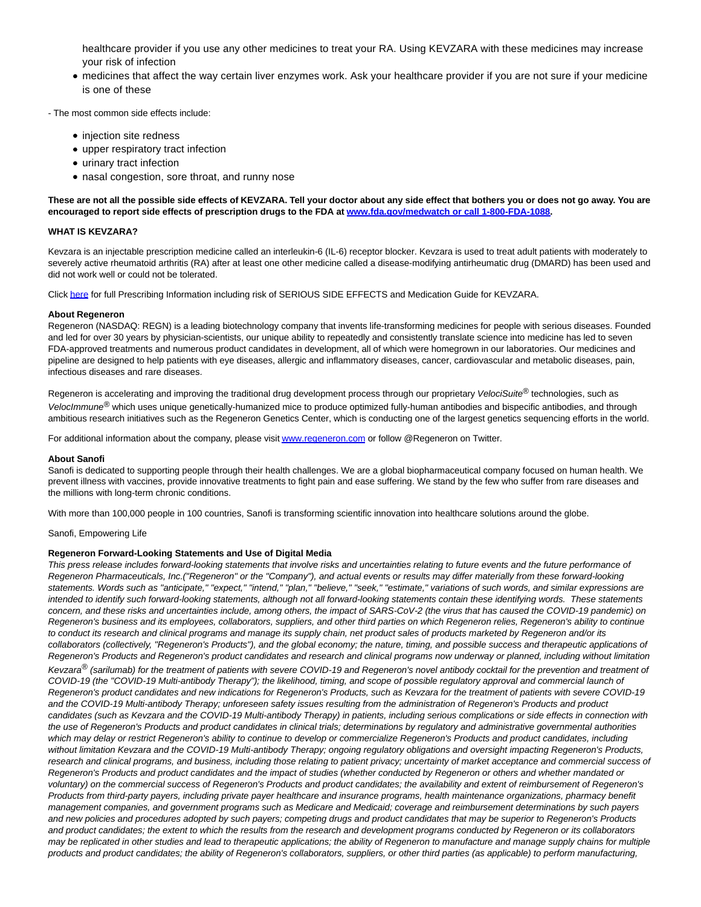healthcare provider if you use any other medicines to treat your RA. Using KEVZARA with these medicines may increase your risk of infection

medicines that affect the way certain liver enzymes work. Ask your healthcare provider if you are not sure if your medicine is one of these

- The most common side effects include:

- injection site redness
- upper respiratory tract infection
- urinary tract infection
- nasal congestion, sore throat, and runny nose

**These are not all the possible side effects of KEVZARA. Tell your doctor about any side effect that bothers you or does not go away. You are encouraged to report side effects of prescription drugs to the FDA at [www.fda.gov/medwatch or call 1-800-FDA-1088.](https://c212.net/c/link/?t=0&l=en&o=2763566-1&h=4044913416&u=http%3A%2F%2Fwww.fda.gov%2Fmedwatch%2520or%2520call%25201-800-FDA-1088&a=www.fda.gov%2Fmedwatch+or+call+1-800-FDA-1088)**

#### **WHAT IS KEVZARA?**

Kevzara is an injectable prescription medicine called an interleukin-6 (IL-6) receptor blocker. Kevzara is used to treat adult patients with moderately to severely active rheumatoid arthritis (RA) after at least one other medicine called a disease-modifying antirheumatic drug (DMARD) has been used and did not work well or could not be tolerated.

Clic[k here f](https://c212.net/c/link/?t=0&l=en&o=2763566-1&h=2718865885&u=http%3A%2F%2Fproducts.sanofi.us%2FKevzara%2FKevzara.pdf&a=here)or full Prescribing Information including risk of SERIOUS SIDE EFFECTS and Medication Guide for KEVZARA.

#### **About Regeneron**

Regeneron (NASDAQ: REGN) is a leading biotechnology company that invents life-transforming medicines for people with serious diseases. Founded and led for over 30 years by physician-scientists, our unique ability to repeatedly and consistently translate science into medicine has led to seven FDA-approved treatments and numerous product candidates in development, all of which were homegrown in our laboratories. Our medicines and pipeline are designed to help patients with eye diseases, allergic and inflammatory diseases, cancer, cardiovascular and metabolic diseases, pain, infectious diseases and rare diseases.

Regeneron is accelerating and improving the traditional drug development process through our proprietary VelociSuite® technologies, such as VelocImmune<sup>®</sup> which uses unique genetically-humanized mice to produce optimized fully-human antibodies and bispecific antibodies, and through ambitious research initiatives such as the Regeneron Genetics Center, which is conducting one of the largest genetics sequencing efforts in the world.

For additional information about the company, please visi[t www.regeneron.com o](https://c212.net/c/link/?t=0&l=en&o=2763566-1&h=1415382031&u=http%3A%2F%2Fwww.regeneron.com%2F&a=www.regeneron.com)r follow @Regeneron on Twitter.

#### **About Sanofi**

Sanofi is dedicated to supporting people through their health challenges. We are a global biopharmaceutical company focused on human health. We prevent illness with vaccines, provide innovative treatments to fight pain and ease suffering. We stand by the few who suffer from rare diseases and the millions with long-term chronic conditions.

With more than 100,000 people in 100 countries, Sanofi is transforming scientific innovation into healthcare solutions around the globe.

#### Sanofi, Empowering Life

### **Regeneron Forward-Looking Statements and Use of Digital Media**

This press release includes forward-looking statements that involve risks and uncertainties relating to future events and the future performance of Regeneron Pharmaceuticals, Inc.("Regeneron" or the "Company"), and actual events or results may differ materially from these forward-looking statements. Words such as "anticipate," "expect," "intend," "plan," "believe," "seek," "estimate," variations of such words, and similar expressions are intended to identify such forward-looking statements, although not all forward-looking statements contain these identifying words. These statements concern, and these risks and uncertainties include, among others, the impact of SARS-CoV-2 (the virus that has caused the COVID-19 pandemic) on Regeneron's business and its employees, collaborators, suppliers, and other third parties on which Regeneron relies, Regeneron's ability to continue to conduct its research and clinical programs and manage its supply chain, net product sales of products marketed by Regeneron and/or its collaborators (collectively, "Regeneron's Products"), and the global economy; the nature, timing, and possible success and therapeutic applications of Regeneron's Products and Regeneron's product candidates and research and clinical programs now underway or planned, including without limitation Kevzara<sup>®</sup> (sarilumab) for the treatment of patients with severe COVID-19 and Regeneron's novel antibody cocktail for the prevention and treatment of COVID-19 (the "COVID-19 Multi-antibody Therapy"); the likelihood, timing, and scope of possible regulatory approval and commercial launch of Regeneron's product candidates and new indications for Regeneron's Products, such as Kevzara for the treatment of patients with severe COVID-19 and the COVID-19 Multi-antibody Therapy; unforeseen safety issues resulting from the administration of Regeneron's Products and product candidates (such as Kevzara and the COVID-19 Multi-antibody Therapy) in patients, including serious complications or side effects in connection with the use of Regeneron's Products and product candidates in clinical trials; determinations by regulatory and administrative governmental authorities which may delay or restrict Regeneron's ability to continue to develop or commercialize Regeneron's Products and product candidates, including without limitation Kevzara and the COVID-19 Multi-antibody Therapy; ongoing regulatory obligations and oversight impacting Regeneron's Products, research and clinical programs, and business, including those relating to patient privacy; uncertainty of market acceptance and commercial success of Regeneron's Products and product candidates and the impact of studies (whether conducted by Regeneron or others and whether mandated or voluntary) on the commercial success of Regeneron's Products and product candidates; the availability and extent of reimbursement of Regeneron's Products from third-party payers, including private payer healthcare and insurance programs, health maintenance organizations, pharmacy benefit management companies, and government programs such as Medicare and Medicaid; coverage and reimbursement determinations by such payers and new policies and procedures adopted by such payers; competing drugs and product candidates that may be superior to Regeneron's Products and product candidates; the extent to which the results from the research and development programs conducted by Regeneron or its collaborators may be replicated in other studies and lead to therapeutic applications; the ability of Regeneron to manufacture and manage supply chains for multiple products and product candidates; the ability of Regeneron's collaborators, suppliers, or other third parties (as applicable) to perform manufacturing,